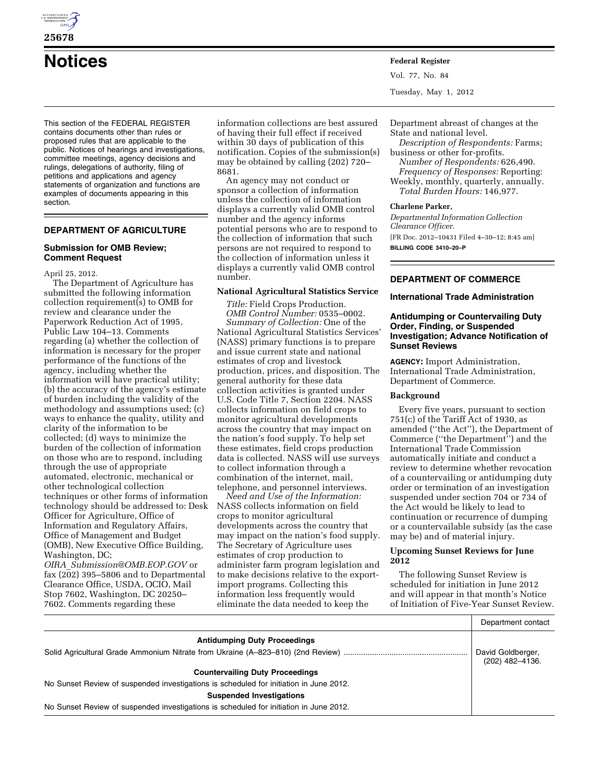

**25678** 

**Notices Federal Register**

This section of the FEDERAL REGISTER contains documents other than rules or proposed rules that are applicable to the public. Notices of hearings and investigations, committee meetings, agency decisions and rulings, delegations of authority, filing of petitions and applications and agency statements of organization and functions are examples of documents appearing in this section.

# **DEPARTMENT OF AGRICULTURE**

### **Submission for OMB Review; Comment Request**

April 25, 2012.

The Department of Agriculture has submitted the following information collection requirement(s) to OMB for review and clearance under the Paperwork Reduction Act of 1995, Public Law 104–13. Comments regarding (a) whether the collection of information is necessary for the proper performance of the functions of the agency, including whether the information will have practical utility; (b) the accuracy of the agency's estimate of burden including the validity of the methodology and assumptions used; (c) ways to enhance the quality, utility and clarity of the information to be collected; (d) ways to minimize the burden of the collection of information on those who are to respond, including through the use of appropriate automated, electronic, mechanical or other technological collection techniques or other forms of information technology should be addressed to: Desk Officer for Agriculture, Office of Information and Regulatory Affairs, Office of Management and Budget (OMB), New Executive Office Building, Washington, DC;

*OIRA*\_*[Submission@OMB.EOP.GOV](mailto:OIRA_Submission@OMB.EOP.GOV)* or fax (202) 395–5806 and to Departmental Clearance Office, USDA, OCIO, Mail Stop 7602, Washington, DC 20250– 7602. Comments regarding these

information collections are best assured of having their full effect if received within 30 days of publication of this notification. Copies of the submission(s) may be obtained by calling (202) 720– 8681.

An agency may not conduct or sponsor a collection of information unless the collection of information displays a currently valid OMB control number and the agency informs potential persons who are to respond to the collection of information that such persons are not required to respond to the collection of information unless it displays a currently valid OMB control number.

#### **National Agricultural Statistics Service**

*Title:* Field Crops Production. *OMB Control Number:* 0535–0002. *Summary of Collection:* One of the National Agricultural Statistics Services' (NASS) primary functions is to prepare and issue current state and national estimates of crop and livestock production, prices, and disposition. The general authority for these data collection activities is granted under U.S. Code Title 7, Section 2204. NASS collects information on field crops to monitor agricultural developments across the country that may impact on the nation's food supply. To help set these estimates, field crops production data is collected. NASS will use surveys to collect information through a combination of the internet, mail, telephone, and personnel interviews.

*Need and Use of the Information:*  NASS collects information on field crops to monitor agricultural developments across the country that may impact on the nation's food supply. The Secretary of Agriculture uses estimates of crop production to administer farm program legislation and to make decisions relative to the exportimport programs. Collecting this information less frequently would eliminate the data needed to keep the

Vol. 77, No. 84 Tuesday, May 1, 2012

Department abreast of changes at the State and national level. *Description of Respondents:* Farms; business or other for-profits. *Number of Respondents:* 626,490.

*Frequency of Responses:* Reporting: Weekly, monthly, quarterly, annually. *Total Burden Hours:* 146,977.

#### **Charlene Parker,**

*Departmental Information Collection Clearance Officer.*  [FR Doc. 2012–10431 Filed 4–30–12; 8:45 am] **BILLING CODE 3410–20–P** 

# **DEPARTMENT OF COMMERCE**

### **International Trade Administration**

### **Antidumping or Countervailing Duty Order, Finding, or Suspended Investigation; Advance Notification of Sunset Reviews**

**AGENCY:** Import Administration, International Trade Administration, Department of Commerce.

#### **Background**

Every five years, pursuant to section 751(c) of the Tariff Act of 1930, as amended (''the Act''), the Department of Commerce (''the Department'') and the International Trade Commission automatically initiate and conduct a review to determine whether revocation of a countervailing or antidumping duty order or termination of an investigation suspended under section 704 or 734 of the Act would be likely to lead to continuation or recurrence of dumping or a countervailable subsidy (as the case may be) and of material injury.

### **Upcoming Sunset Reviews for June 2012**

The following Sunset Review is scheduled for initiation in June 2012 and will appear in that month's Notice of Initiation of Five-Year Sunset Review.

|                                                                                        | Department contact                   |
|----------------------------------------------------------------------------------------|--------------------------------------|
| <b>Antidumping Duty Proceedings</b>                                                    |                                      |
|                                                                                        | David Goldberger,<br>(202) 482-4136. |
| <b>Countervailing Duty Proceedings</b>                                                 |                                      |
| No Sunset Review of suspended investigations is scheduled for initiation in June 2012. |                                      |
| <b>Suspended Investigations</b>                                                        |                                      |
| No Sunset Review of suspended investigations is scheduled for initiation in June 2012. |                                      |